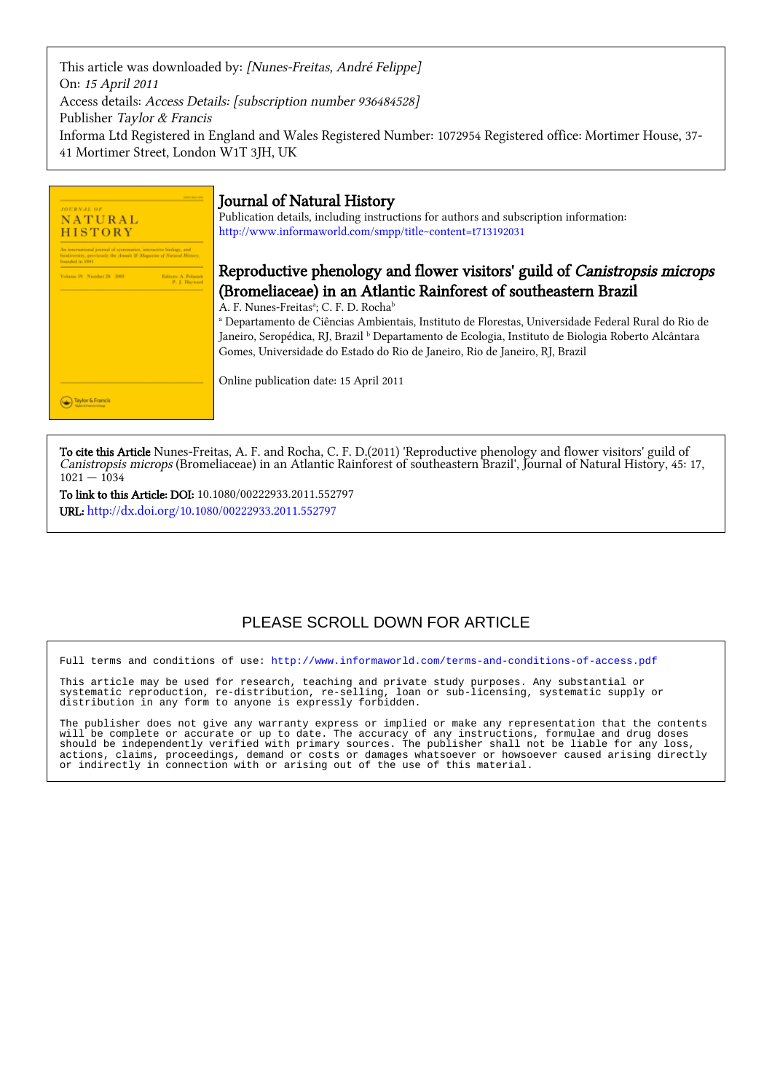This article was downloaded by: [Nunes-Freitas, André Felippe] On: 15 April 2011 Access details: Access Details: [subscription number 936484528] Publisher Taylor & Francis Informa Ltd Registered in England and Wales Registered Number: 1072954 Registered office: Mortimer House, 37- 41 Mortimer Street, London W1T 3JH, UK



# Journal of Natural History

Publication details, including instructions for authors and subscription information: <http://www.informaworld.com/smpp/title~content=t713192031>

# Reproductive phenology and flower visitors' guild of Canistropsis microps (Bromeliaceae) in an Atlantic Rainforest of southeastern Brazil

A. F. Nunes-Freitasª; C. F. D. Rocha<sup>b</sup>

a Departamento de Ciências Ambientais, Instituto de Florestas, Universidade Federal Rural do Rio de Janeiro, Seropédica, RJ, Brazil <sup>b</sup> Departamento de Ecologia, Instituto de Biologia Roberto Alcântara Gomes, Universidade do Estado do Rio de Janeiro, Rio de Janeiro, RJ, Brazil

Online publication date: 15 April 2011

To cite this Article Nunes-Freitas, A. F. and Rocha, C. F. D.(2011) 'Reproductive phenology and flower visitors' guild of Canistropsis microps (Bromeliaceae) in an Atlantic Rainforest of southeastern Brazil', Journal of Natural History, 45: 17,  $1021 - 1034$ 

To link to this Article: DOI: 10.1080/00222933.2011.552797 URL: <http://dx.doi.org/10.1080/00222933.2011.552797>

# PLEASE SCROLL DOWN FOR ARTICLE

Full terms and conditions of use:<http://www.informaworld.com/terms-and-conditions-of-access.pdf>

This article may be used for research, teaching and private study purposes. Any substantial or systematic reproduction, re-distribution, re-selling, loan or sub-licensing, systematic supply or distribution in any form to anyone is expressly forbidden.

The publisher does not give any warranty express or implied or make any representation that the contents will be complete or accurate or up to date. The accuracy of any instructions, formulae and drug doses should be independently verified with primary sources. The publisher shall not be liable for any loss, actions, claims, proceedings, demand or costs or damages whatsoever or howsoever caused arising directly or indirectly in connection with or arising out of the use of this material.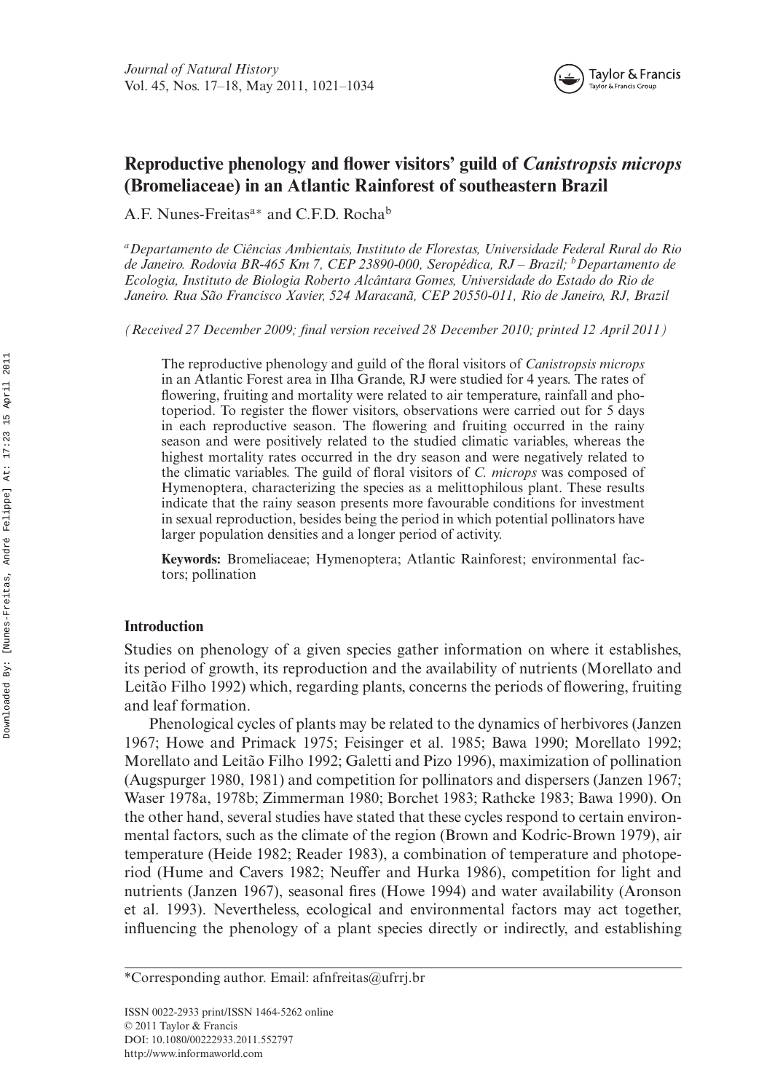

## **Reproductive phenology and flower visitors' guild of** *Canistropsis microps* **(Bromeliaceae) in an Atlantic Rainforest of southeastern Brazil**

A.F. Nunes-Freitas<sup>a∗</sup> and C.F.D. Rocha<sup>b</sup>

*aDepartamento de Ciências Ambientais, Instituto de Florestas, Universidade Federal Rural do Rio de Janeiro. Rodovia BR-465 Km 7, CEP 23890-000, Seropédica, RJ – Brazil; bDepartamento de Ecologia, Instituto de Biologia Roberto Alcântara Gomes, Universidade do Estado do Rio de Janeiro. Rua São Francisco Xavier, 524 Maracanã, CEP 20550-011, Rio de Janeiro, RJ, Brazil*

*(Received 27 December 2009; final version received 28 December 2010; printed 12 April 2011)*

The reproductive phenology and guild of the floral visitors of *Canistropsis microps* in an Atlantic Forest area in Ilha Grande, RJ were studied for 4 years. The rates of flowering, fruiting and mortality were related to air temperature, rainfall and photoperiod. To register the flower visitors, observations were carried out for 5 days in each reproductive season. The flowering and fruiting occurred in the rainy season and were positively related to the studied climatic variables, whereas the highest mortality rates occurred in the dry season and were negatively related to the climatic variables. The guild of floral visitors of *C. microps* was composed of Hymenoptera, characterizing the species as a melittophilous plant. These results indicate that the rainy season presents more favourable conditions for investment in sexual reproduction, besides being the period in which potential pollinators have larger population densities and a longer period of activity.

**Keywords:** Bromeliaceae; Hymenoptera; Atlantic Rainforest; environmental factors; pollination

### **Introduction**

Studies on phenology of a given species gather information on where it establishes, its period of growth, its reproduction and the availability of nutrients (Morellato and Leitão Filho 1992) which, regarding plants, concerns the periods of flowering, fruiting and leaf formation.

Phenological cycles of plants may be related to the dynamics of herbivores (Janzen 1967; Howe and Primack 1975; Feisinger et al. 1985; Bawa 1990; Morellato 1992; Morellato and Leitão Filho 1992; Galetti and Pizo 1996), maximization of pollination (Augspurger 1980, 1981) and competition for pollinators and dispersers (Janzen 1967; Waser 1978a, 1978b; Zimmerman 1980; Borchet 1983; Rathcke 1983; Bawa 1990). On the other hand, several studies have stated that these cycles respond to certain environmental factors, such as the climate of the region (Brown and Kodric-Brown 1979), air temperature (Heide 1982; Reader 1983), a combination of temperature and photoperiod (Hume and Cavers 1982; Neuffer and Hurka 1986), competition for light and nutrients (Janzen 1967), seasonal fires (Howe 1994) and water availability (Aronson et al. 1993). Nevertheless, ecological and environmental factors may act together, influencing the phenology of a plant species directly or indirectly, and establishing

<sup>\*</sup>Corresponding author. Email: afnfreitas@ufrrj.br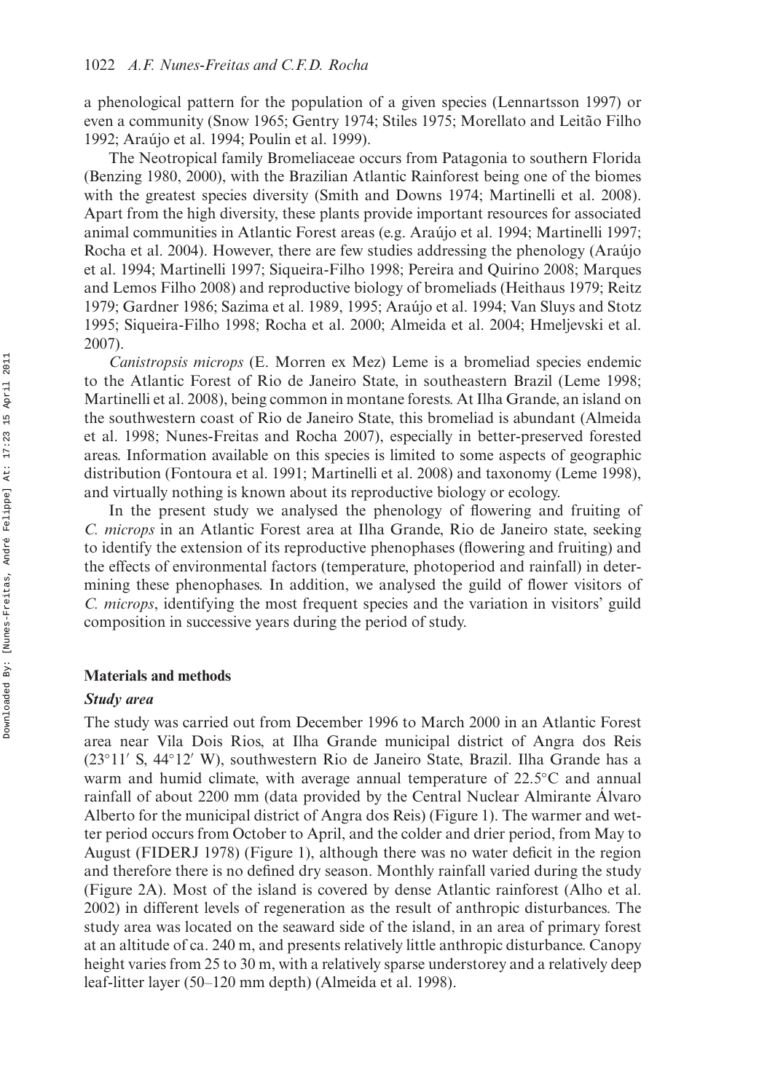a phenological pattern for the population of a given species (Lennartsson 1997) or even a community (Snow 1965; Gentry 1974; Stiles 1975; Morellato and Leitão Filho 1992; Araújo et al. 1994; Poulin et al. 1999).

The Neotropical family Bromeliaceae occurs from Patagonia to southern Florida (Benzing 1980, 2000), with the Brazilian Atlantic Rainforest being one of the biomes with the greatest species diversity (Smith and Downs 1974; Martinelli et al. 2008). Apart from the high diversity, these plants provide important resources for associated animal communities in Atlantic Forest areas (e.g. Araújo et al. 1994; Martinelli 1997; Rocha et al. 2004). However, there are few studies addressing the phenology (Araújo et al. 1994; Martinelli 1997; Siqueira-Filho 1998; Pereira and Quirino 2008; Marques and Lemos Filho 2008) and reproductive biology of bromeliads (Heithaus 1979; Reitz 1979; Gardner 1986; Sazima et al. 1989, 1995; Araújo et al. 1994; Van Sluys and Stotz 1995; Siqueira-Filho 1998; Rocha et al. 2000; Almeida et al. 2004; Hmeljevski et al. 2007).

*Canistropsis microps* (E. Morren ex Mez) Leme is a bromeliad species endemic to the Atlantic Forest of Rio de Janeiro State, in southeastern Brazil (Leme 1998; Martinelli et al. 2008), being common in montane forests. At Ilha Grande, an island on the southwestern coast of Rio de Janeiro State, this bromeliad is abundant (Almeida et al. 1998; Nunes-Freitas and Rocha 2007), especially in better-preserved forested areas. Information available on this species is limited to some aspects of geographic distribution (Fontoura et al. 1991; Martinelli et al. 2008) and taxonomy (Leme 1998), and virtually nothing is known about its reproductive biology or ecology.

In the present study we analysed the phenology of flowering and fruiting of *C. microps* in an Atlantic Forest area at Ilha Grande, Rio de Janeiro state, seeking to identify the extension of its reproductive phenophases (flowering and fruiting) and the effects of environmental factors (temperature, photoperiod and rainfall) in determining these phenophases. In addition, we analysed the guild of flower visitors of *C. microps*, identifying the most frequent species and the variation in visitors' guild composition in successive years during the period of study.

#### **Materials and methods**

### *Study area*

The study was carried out from December 1996 to March 2000 in an Atlantic Forest area near Vila Dois Rios, at Ilha Grande municipal district of Angra dos Reis (23◦11 S, 44◦12 W), southwestern Rio de Janeiro State, Brazil. Ilha Grande has a warm and humid climate, with average annual temperature of 22.5◦C and annual rainfall of about 2200 mm (data provided by the Central Nuclear Almirante Álvaro Alberto for the municipal district of Angra dos Reis) (Figure 1). The warmer and wetter period occurs from October to April, and the colder and drier period, from May to August (FIDERJ 1978) (Figure 1), although there was no water deficit in the region and therefore there is no defined dry season. Monthly rainfall varied during the study (Figure 2A). Most of the island is covered by dense Atlantic rainforest (Alho et al. 2002) in different levels of regeneration as the result of anthropic disturbances. The study area was located on the seaward side of the island, in an area of primary forest at an altitude of ca. 240 m, and presents relatively little anthropic disturbance. Canopy height varies from 25 to 30 m, with a relatively sparse understorey and a relatively deep leaf-litter layer (50–120 mm depth) (Almeida et al. 1998).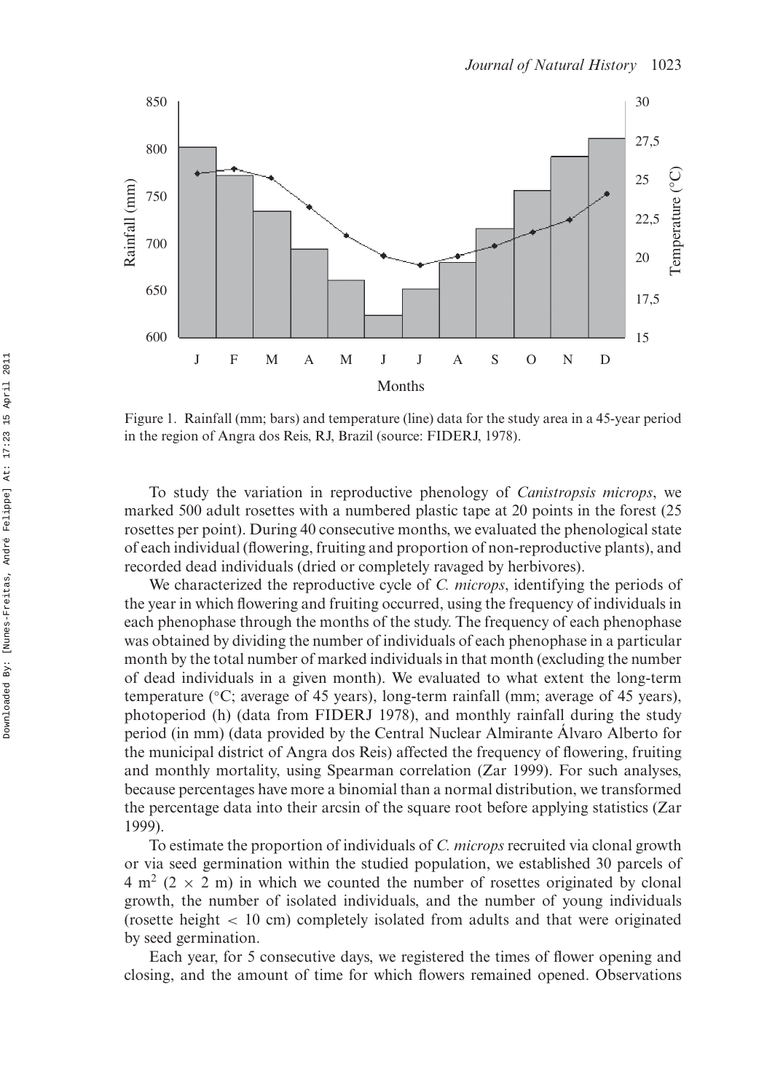

Figure 1. Rainfall (mm; bars) and temperature (line) data for the study area in a 45-year period in the region of Angra dos Reis, RJ, Brazil (source: FIDERJ, 1978).

To study the variation in reproductive phenology of *Canistropsis microps*, we marked 500 adult rosettes with a numbered plastic tape at 20 points in the forest (25 rosettes per point). During 40 consecutive months, we evaluated the phenological state of each individual (flowering, fruiting and proportion of non-reproductive plants), and recorded dead individuals (dried or completely ravaged by herbivores).

We characterized the reproductive cycle of *C. microps*, identifying the periods of the year in which flowering and fruiting occurred, using the frequency of individuals in each phenophase through the months of the study. The frequency of each phenophase was obtained by dividing the number of individuals of each phenophase in a particular month by the total number of marked individuals in that month (excluding the number of dead individuals in a given month). We evaluated to what extent the long-term temperature (◦C; average of 45 years), long-term rainfall (mm; average of 45 years), photoperiod (h) (data from FIDERJ 1978), and monthly rainfall during the study period (in mm) (data provided by the Central Nuclear Almirante Álvaro Alberto for the municipal district of Angra dos Reis) affected the frequency of flowering, fruiting and monthly mortality, using Spearman correlation (Zar 1999). For such analyses, because percentages have more a binomial than a normal distribution, we transformed the percentage data into their arcsin of the square root before applying statistics (Zar 1999).

To estimate the proportion of individuals of *C. microps* recruited via clonal growth or via seed germination within the studied population, we established 30 parcels of  $4 \text{ m}^2$  (2  $\times$  2 m) in which we counted the number of rosettes originated by clonal growth, the number of isolated individuals, and the number of young individuals (rosette height *<* 10 cm) completely isolated from adults and that were originated by seed germination.

Each year, for 5 consecutive days, we registered the times of flower opening and closing, and the amount of time for which flowers remained opened. Observations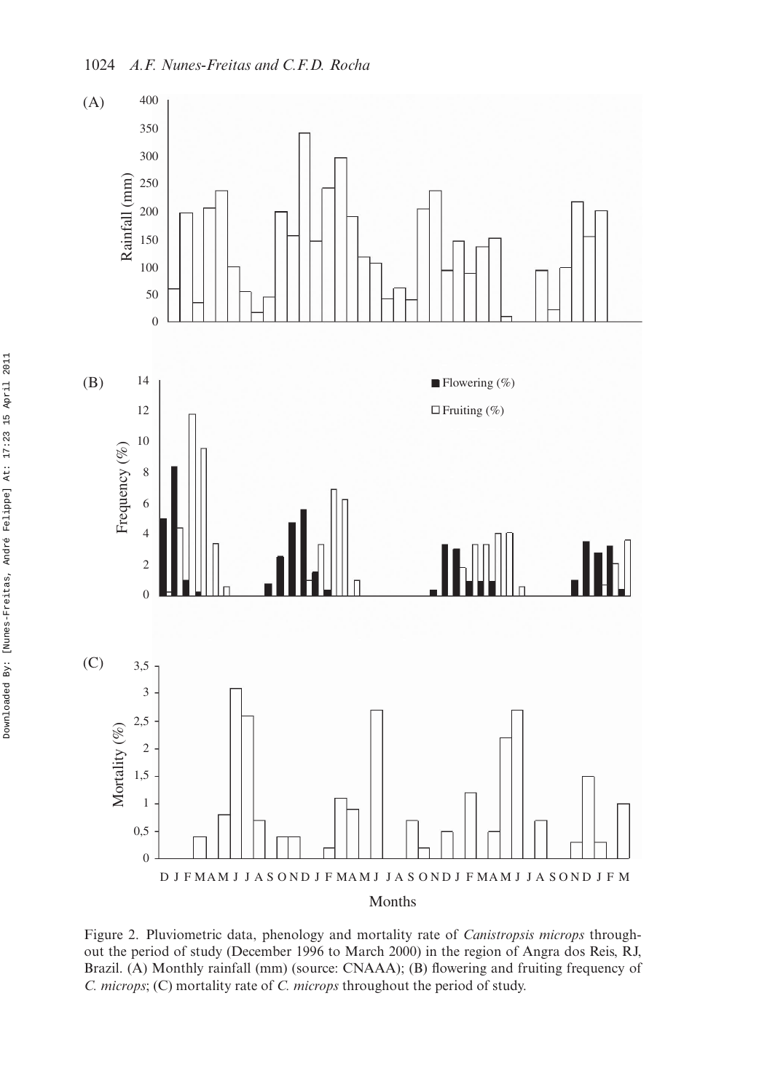

Figure 2. Pluviometric data, phenology and mortality rate of *Canistropsis microps* throughout the period of study (December 1996 to March 2000) in the region of Angra dos Reis, RJ, Brazil. (A) Monthly rainfall (mm) (source: CNAAA); (B) flowering and fruiting frequency of *C. microps*; (C) mortality rate of *C. microps* throughout the period of study.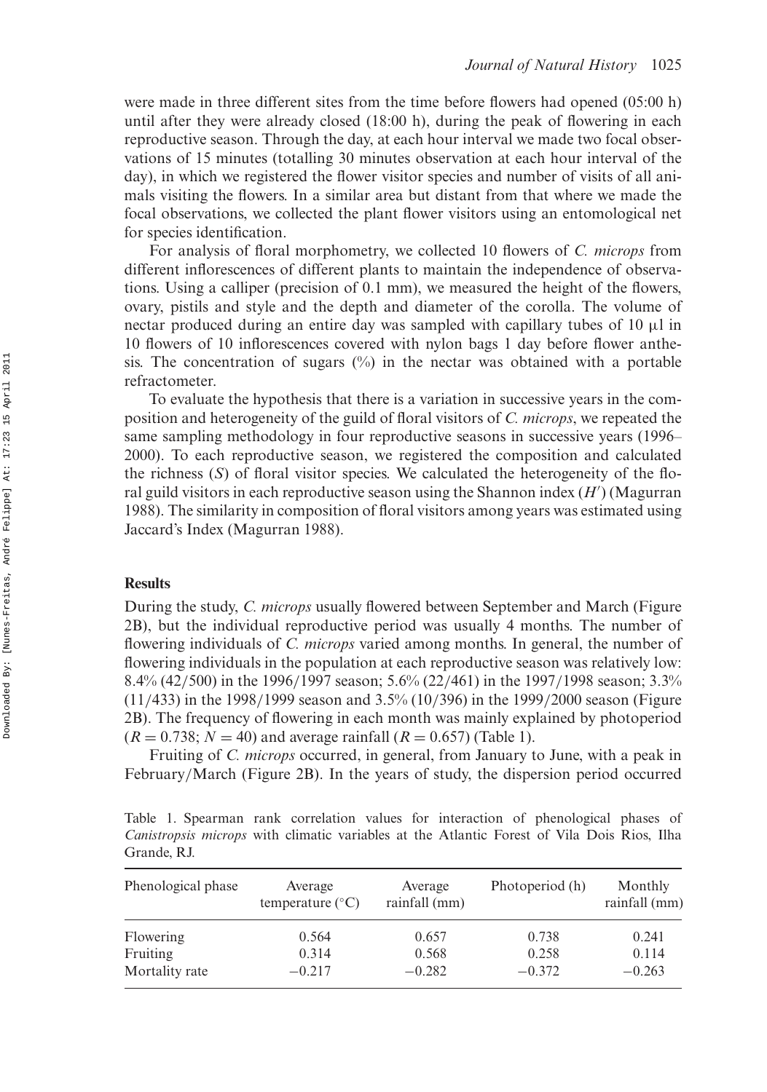were made in three different sites from the time before flowers had opened (05:00 h) until after they were already closed (18:00 h), during the peak of flowering in each reproductive season. Through the day, at each hour interval we made two focal observations of 15 minutes (totalling 30 minutes observation at each hour interval of the day), in which we registered the flower visitor species and number of visits of all animals visiting the flowers. In a similar area but distant from that where we made the focal observations, we collected the plant flower visitors using an entomological net for species identification.

For analysis of floral morphometry, we collected 10 flowers of *C. microps* from different inflorescences of different plants to maintain the independence of observations. Using a calliper (precision of 0.1 mm), we measured the height of the flowers, ovary, pistils and style and the depth and diameter of the corolla. The volume of nectar produced during an entire day was sampled with capillary tubes of 10  $\mu$ l in 10 flowers of 10 inflorescences covered with nylon bags 1 day before flower anthesis. The concentration of sugars  $(\%)$  in the nectar was obtained with a portable refractometer.

To evaluate the hypothesis that there is a variation in successive years in the composition and heterogeneity of the guild of floral visitors of *C. microps*, we repeated the same sampling methodology in four reproductive seasons in successive years (1996– 2000). To each reproductive season, we registered the composition and calculated the richness  $(S)$  of floral visitor species. We calculated the heterogeneity of the floral guild visitors in each reproductive season using the Shannon index (*H* ) (Magurran 1988). The similarity in composition of floral visitors among years was estimated using Jaccard's Index (Magurran 1988).

#### **Results**

During the study, *C. microps* usually flowered between September and March (Figure 2B), but the individual reproductive period was usually 4 months. The number of flowering individuals of *C. microps* varied among months. In general, the number of flowering individuals in the population at each reproductive season was relatively low: 8.4% (42*/*500) in the 1996*/*1997 season; 5.6% (22*/*461) in the 1997*/*1998 season; 3.3% (11*/*433) in the 1998*/*1999 season and 3.5% (10*/*396) in the 1999*/*2000 season (Figure 2B). The frequency of flowering in each month was mainly explained by photoperiod  $(R = 0.738; N = 40)$  and average rainfall  $(R = 0.657)$  (Table 1).

Fruiting of *C. microps* occurred, in general, from January to June, with a peak in February*/*March (Figure 2B). In the years of study, the dispersion period occurred

Table 1. Spearman rank correlation values for interaction of phenological phases of *Canistropsis microps* with climatic variables at the Atlantic Forest of Vila Dois Rios, Ilha Grande, RJ.

| Phenological phase | Average<br>temperature $(^{\circ}C)$ | Average<br>rainfall (mm) | Photoperiod (h) | Monthly<br>rainfall (mm) |
|--------------------|--------------------------------------|--------------------------|-----------------|--------------------------|
| Flowering          | 0.564                                | 0.657                    | 0.738           | 0.241                    |
| Fruiting           | 0.314                                | 0.568                    | 0.258           | 0.114                    |
| Mortality rate     | $-0.217$                             | $-0.282$                 | $-0.372$        | $-0.263$                 |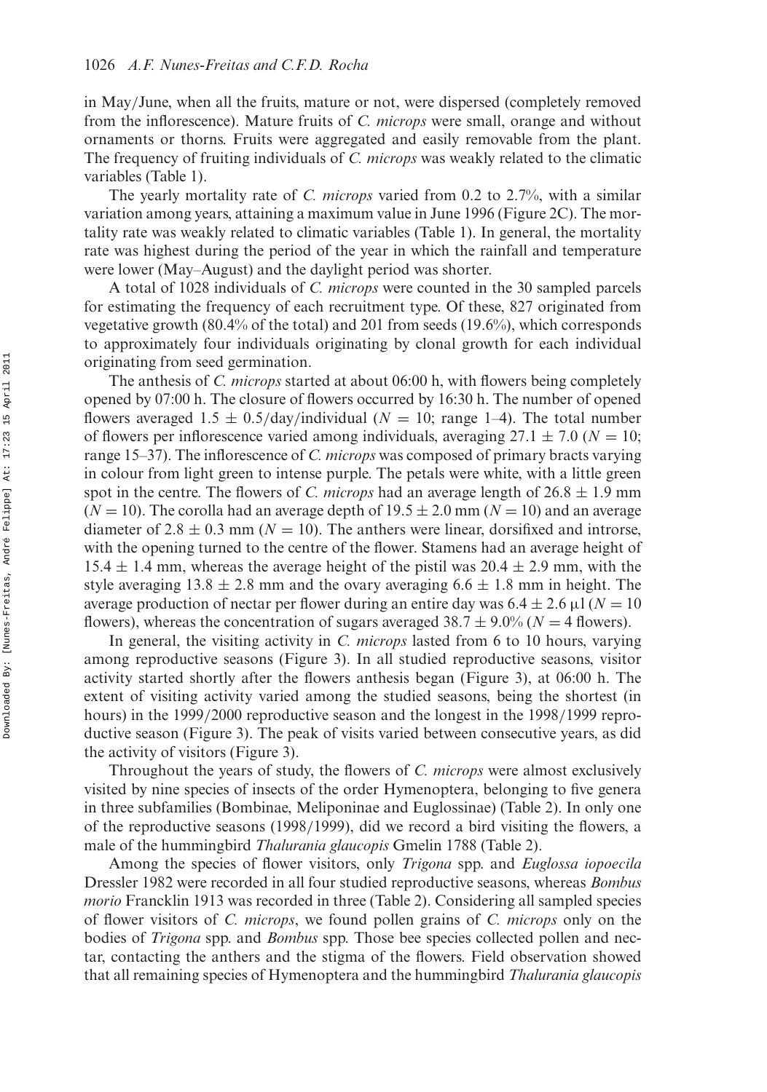in May*/*June, when all the fruits, mature or not, were dispersed (completely removed from the inflorescence). Mature fruits of *C. microps* were small, orange and without ornaments or thorns. Fruits were aggregated and easily removable from the plant. The frequency of fruiting individuals of *C. microps* was weakly related to the climatic variables (Table 1).

The yearly mortality rate of *C. microps* varied from 0.2 to 2.7%, with a similar variation among years, attaining a maximum value in June 1996 (Figure 2C). The mortality rate was weakly related to climatic variables (Table 1). In general, the mortality rate was highest during the period of the year in which the rainfall and temperature were lower (May–August) and the daylight period was shorter.

A total of 1028 individuals of *C. microps* were counted in the 30 sampled parcels for estimating the frequency of each recruitment type. Of these, 827 originated from vegetative growth (80.4% of the total) and 201 from seeds (19.6%), which corresponds to approximately four individuals originating by clonal growth for each individual originating from seed germination.

The anthesis of *C. microps* started at about 06:00 h, with flowers being completely opened by 07:00 h. The closure of flowers occurred by 16:30 h. The number of opened flowers averaged  $1.5 \pm 0.5$ /day/individual ( $N = 10$ ; range 1–4). The total number of flowers per inflorescence varied among individuals, averaging  $27.1 \pm 7.0$  ( $N = 10$ ; range 15–37). The inflorescence of *C. microps* was composed of primary bracts varying in colour from light green to intense purple. The petals were white, with a little green spot in the centre. The flowers of *C. microps* had an average length of  $26.8 \pm 1.9$  mm  $(N = 10)$ . The corolla had an average depth of  $19.5 \pm 2.0$  mm  $(N = 10)$  and an average diameter of  $2.8 \pm 0.3$  mm ( $N = 10$ ). The anthers were linear, dorsifixed and introrse, with the opening turned to the centre of the flower. Stamens had an average height of  $15.4 \pm 1.4$  mm, whereas the average height of the pistil was  $20.4 \pm 2.9$  mm, with the style averaging  $13.8 \pm 2.8$  mm and the ovary averaging  $6.6 \pm 1.8$  mm in height. The average production of nectar per flower during an entire day was  $6.4 \pm 2.6 \,\mu\text{J}$  ( $N = 10$ ) flowers), whereas the concentration of sugars averaged  $38.7 \pm 9.0\%$  ( $N = 4$  flowers).

In general, the visiting activity in *C. microps* lasted from 6 to 10 hours, varying among reproductive seasons (Figure 3). In all studied reproductive seasons, visitor activity started shortly after the flowers anthesis began (Figure 3), at 06:00 h. The extent of visiting activity varied among the studied seasons, being the shortest (in hours) in the 1999*/*2000 reproductive season and the longest in the 1998*/*1999 reproductive season (Figure 3). The peak of visits varied between consecutive years, as did the activity of visitors (Figure 3).

Throughout the years of study, the flowers of *C. microps* were almost exclusively visited by nine species of insects of the order Hymenoptera, belonging to five genera in three subfamilies (Bombinae, Meliponinae and Euglossinae) (Table 2). In only one of the reproductive seasons (1998*/*1999), did we record a bird visiting the flowers, a male of the hummingbird *Thalurania glaucopis* Gmelin 1788 (Table 2).

Among the species of flower visitors, only *Trigona* spp. and *Euglossa iopoecila* Dressler 1982 were recorded in all four studied reproductive seasons, whereas *Bombus morio* Francklin 1913 was recorded in three (Table 2). Considering all sampled species of flower visitors of *C. microps*, we found pollen grains of *C. microps* only on the bodies of *Trigona* spp. and *Bombus* spp. Those bee species collected pollen and nectar, contacting the anthers and the stigma of the flowers. Field observation showed that all remaining species of Hymenoptera and the hummingbird *Thalurania glaucopis*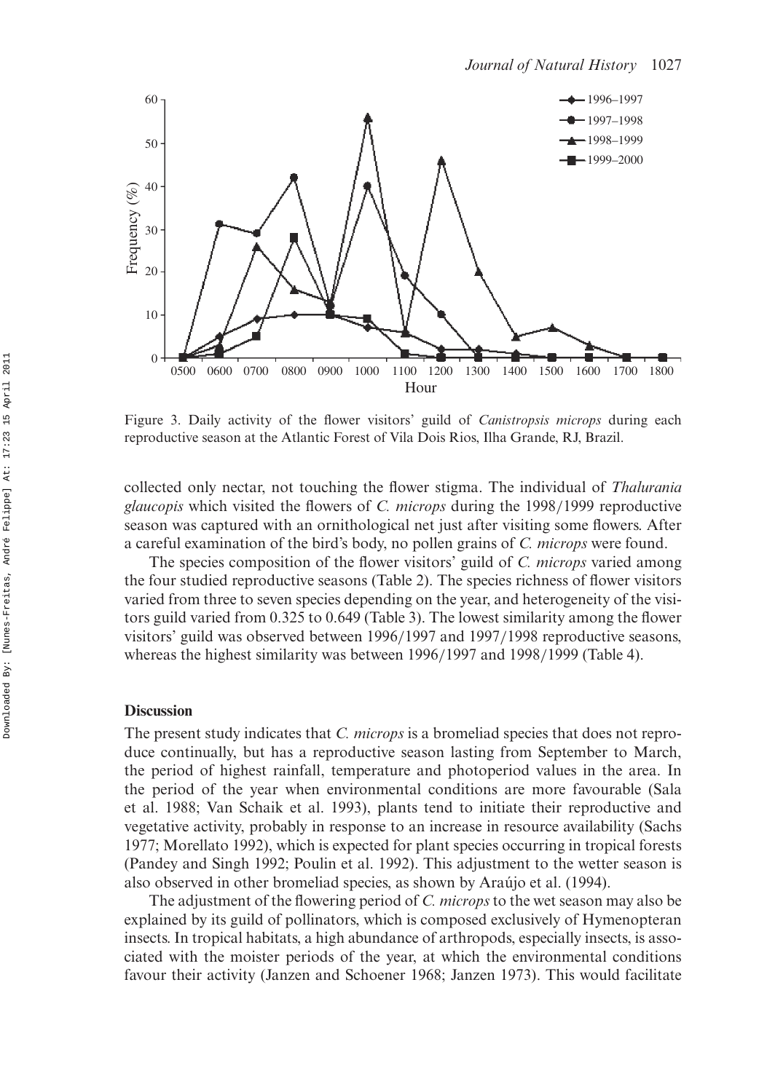

Figure 3. Daily activity of the flower visitors' guild of *Canistropsis microps* during each reproductive season at the Atlantic Forest of Vila Dois Rios, Ilha Grande, RJ, Brazil.

collected only nectar, not touching the flower stigma. The individual of *Thalurania glaucopis* which visited the flowers of *C. microps* during the 1998*/*1999 reproductive season was captured with an ornithological net just after visiting some flowers. After a careful examination of the bird's body, no pollen grains of *C. microps* were found.

The species composition of the flower visitors' guild of *C. microps* varied among the four studied reproductive seasons (Table 2). The species richness of flower visitors varied from three to seven species depending on the year, and heterogeneity of the visitors guild varied from 0.325 to 0.649 (Table 3). The lowest similarity among the flower visitors' guild was observed between 1996*/*1997 and 1997*/*1998 reproductive seasons, whereas the highest similarity was between 1996*/*1997 and 1998*/*1999 (Table 4).

## **Discussion**

The present study indicates that *C. microps* is a bromeliad species that does not reproduce continually, but has a reproductive season lasting from September to March, the period of highest rainfall, temperature and photoperiod values in the area. In the period of the year when environmental conditions are more favourable (Sala et al. 1988; Van Schaik et al. 1993), plants tend to initiate their reproductive and vegetative activity, probably in response to an increase in resource availability (Sachs 1977; Morellato 1992), which is expected for plant species occurring in tropical forests (Pandey and Singh 1992; Poulin et al. 1992). This adjustment to the wetter season is also observed in other bromeliad species, as shown by Araújo et al. (1994).

The adjustment of the flowering period of *C. microps* to the wet season may also be explained by its guild of pollinators, which is composed exclusively of Hymenopteran insects. In tropical habitats, a high abundance of arthropods, especially insects, is associated with the moister periods of the year, at which the environmental conditions favour their activity (Janzen and Schoener 1968; Janzen 1973). This would facilitate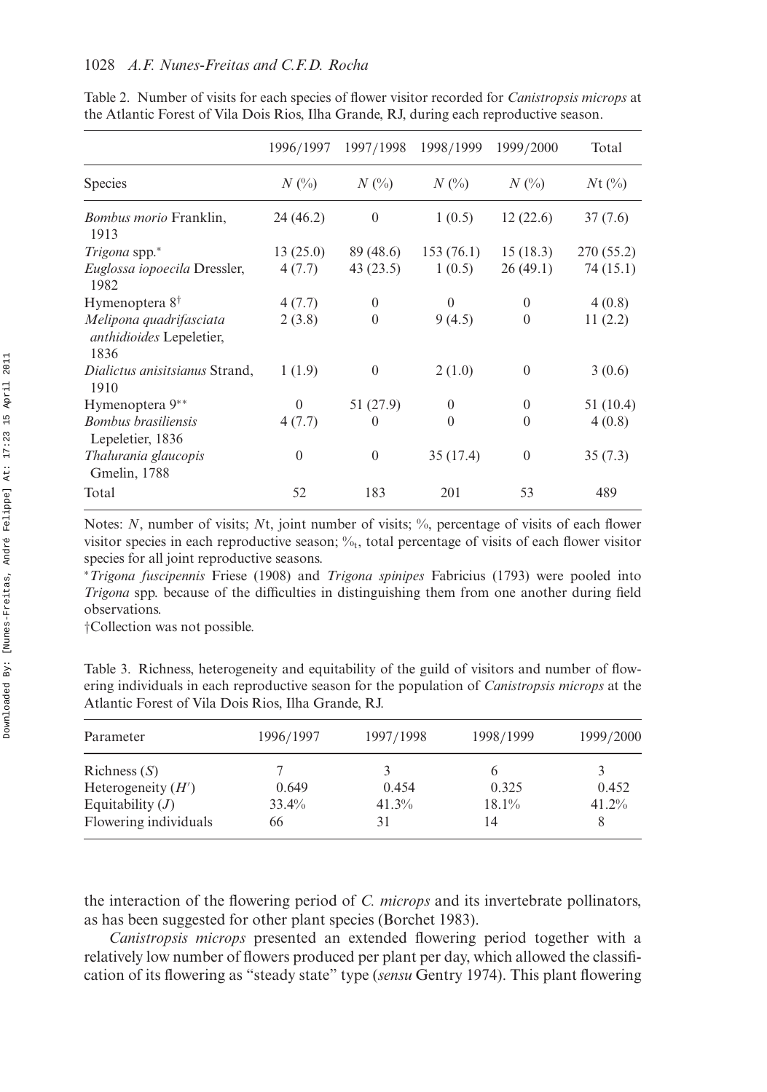|                                                                    | 1996/1997 | 1997/1998 | 1998/1999 | 1999/2000 | Total      |
|--------------------------------------------------------------------|-----------|-----------|-----------|-----------|------------|
| <b>Species</b>                                                     | $N(\%)$   | $N(\%)$   | $N(\%)$   | $N(\%)$   | Nt $(\%)$  |
| <i>Bombus morio</i> Franklin,<br>1913                              | 24 (46.2) | $\theta$  | 1(0.5)    | 12(22.6)  | 37(7.6)    |
| Trigona spp.*                                                      | 13(25.0)  | 89 (48.6) | 153(76.1) | 15(18.3)  | 270 (55.2) |
| <i>Euglossa iopoecila</i> Dressler,<br>1982                        | 4(7.7)    | 43(23.5)  | 1(0.5)    | 26(49.1)  | 74 (15.1)  |
| Hymenoptera 8 <sup>†</sup>                                         | 4(7.7)    | $\Omega$  | $\Omega$  | $\Omega$  | 4(0.8)     |
| Melipona quadrifasciata<br><i>anthidioides</i> Lepeletier,<br>1836 | 2(3.8)    | $\theta$  | 9(4.5)    | $\theta$  | 11(2.2)    |
| <i>Dialictus anisitsianus Strand,</i><br>1910                      | 1(1.9)    | $\theta$  | 2(1.0)    | $\theta$  | 3(0.6)     |
| Hymenoptera 9**                                                    | $\Omega$  | 51 (27.9) | $\Omega$  | $\Omega$  | 51 (10.4)  |
| <b>Bombus brasiliensis</b><br>Lepeletier, 1836                     | 4(7.7)    | $\theta$  | $\Omega$  | $\Omega$  | 4(0.8)     |
| Thalurania glaucopis<br>Gmelin, 1788                               | $\theta$  | $\theta$  | 35(17.4)  | $\Omega$  | 35(7.3)    |
| Total                                                              | 52        | 183       | 201       | 53        | 489        |
|                                                                    |           |           |           |           |            |

Table 2. Number of visits for each species of flower visitor recorded for *Canistropsis microps* at the Atlantic Forest of Vila Dois Rios, Ilha Grande, RJ, during each reproductive season.

Notes: *N*, number of visits; *N*t, joint number of visits; %, percentage of visits of each flower visitor species in each reproductive season;  $\%$ , total percentage of visits of each flower visitor species for all joint reproductive seasons.

<sup>∗</sup>*Trigona fuscipennis* Friese (1908) and *Trigona spinipes* Fabricius (1793) were pooled into *Trigona* spp. because of the difficulties in distinguishing them from one another during field observations.

†Collection was not possible.

Table 3. Richness, heterogeneity and equitability of the guild of visitors and number of flowering individuals in each reproductive season for the population of *Canistropsis microps* at the Atlantic Forest of Vila Dois Rios, Ilha Grande, RJ.

| Parameter             | 1996/1997 | 1997/1998 | 1998/1999 | 1999/2000 |
|-----------------------|-----------|-----------|-----------|-----------|
| Richness $(S)$        |           |           |           |           |
| Heterogeneity $(H')$  | 0.649     | 0.454     | 0.325     | 0.452     |
| Equitability $(J)$    | $33.4\%$  | $41.3\%$  | 18.1%     | $41.2\%$  |
| Flowering individuals | 66        | 31        | 14        |           |

the interaction of the flowering period of *C. microps* and its invertebrate pollinators, as has been suggested for other plant species (Borchet 1983).

*Canistropsis microps* presented an extended flowering period together with a relatively low number of flowers produced per plant per day, which allowed the classification of its flowering as "steady state" type (*sensu* Gentry 1974). This plant flowering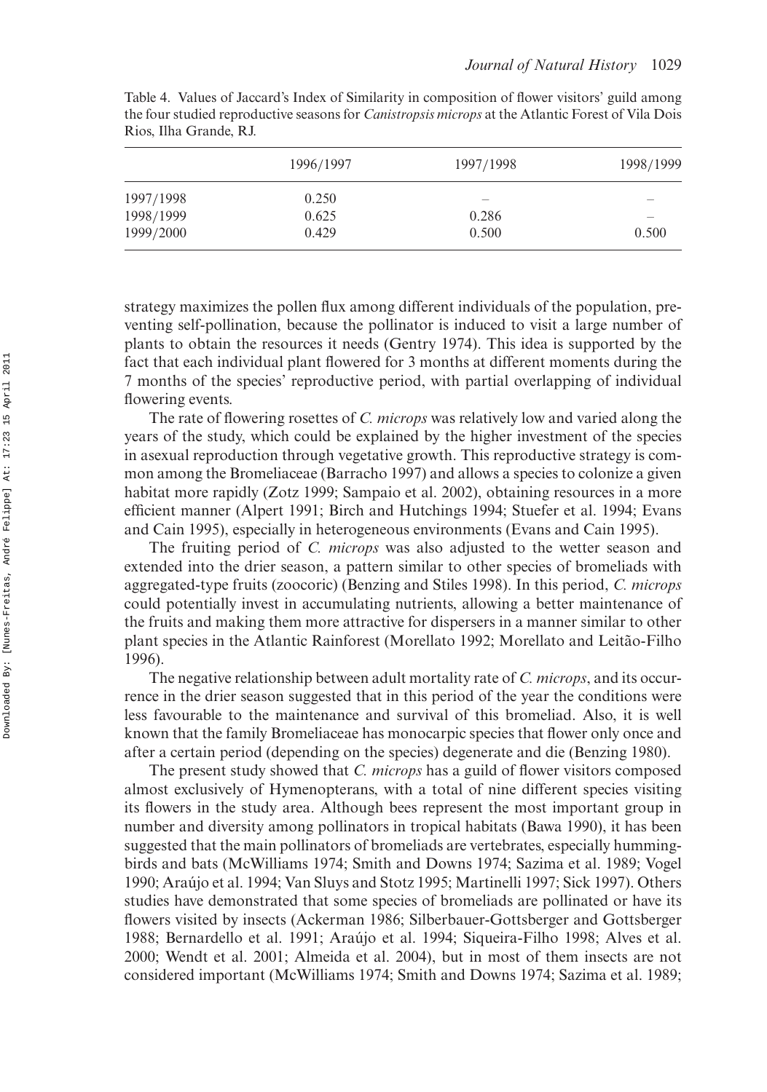|           | 1996/1997 | 1997/1998 | 1998/1999 |
|-----------|-----------|-----------|-----------|
| 1997/1998 | 0.250     | $-$       | _         |
| 1998/1999 | 0.625     | 0.286     |           |
| 1999/2000 | 0.429     | 0.500     | 0.500     |

Table 4. Values of Jaccard's Index of Similarity in composition of flower visitors' guild among the four studied reproductive seasons for *Canistropsis microps* at the Atlantic Forest of Vila Dois Rios, Ilha Grande, RJ.

strategy maximizes the pollen flux among different individuals of the population, preventing self-pollination, because the pollinator is induced to visit a large number of plants to obtain the resources it needs (Gentry 1974). This idea is supported by the fact that each individual plant flowered for 3 months at different moments during the 7 months of the species' reproductive period, with partial overlapping of individual flowering events.

The rate of flowering rosettes of *C. microps* was relatively low and varied along the years of the study, which could be explained by the higher investment of the species in asexual reproduction through vegetative growth. This reproductive strategy is common among the Bromeliaceae (Barracho 1997) and allows a species to colonize a given habitat more rapidly (Zotz 1999; Sampaio et al. 2002), obtaining resources in a more efficient manner (Alpert 1991; Birch and Hutchings 1994; Stuefer et al. 1994; Evans and Cain 1995), especially in heterogeneous environments (Evans and Cain 1995).

The fruiting period of *C. microps* was also adjusted to the wetter season and extended into the drier season, a pattern similar to other species of bromeliads with aggregated-type fruits (zoocoric) (Benzing and Stiles 1998). In this period, *C. microps* could potentially invest in accumulating nutrients, allowing a better maintenance of the fruits and making them more attractive for dispersers in a manner similar to other plant species in the Atlantic Rainforest (Morellato 1992; Morellato and Leitão-Filho 1996).

The negative relationship between adult mortality rate of *C. microps*, and its occurrence in the drier season suggested that in this period of the year the conditions were less favourable to the maintenance and survival of this bromeliad. Also, it is well known that the family Bromeliaceae has monocarpic species that flower only once and after a certain period (depending on the species) degenerate and die (Benzing 1980).

The present study showed that *C. microps* has a guild of flower visitors composed almost exclusively of Hymenopterans, with a total of nine different species visiting its flowers in the study area. Although bees represent the most important group in number and diversity among pollinators in tropical habitats (Bawa 1990), it has been suggested that the main pollinators of bromeliads are vertebrates, especially hummingbirds and bats (McWilliams 1974; Smith and Downs 1974; Sazima et al. 1989; Vogel 1990; Araújo et al. 1994; Van Sluys and Stotz 1995; Martinelli 1997; Sick 1997). Others studies have demonstrated that some species of bromeliads are pollinated or have its flowers visited by insects (Ackerman 1986; Silberbauer-Gottsberger and Gottsberger 1988; Bernardello et al. 1991; Araújo et al. 1994; Siqueira-Filho 1998; Alves et al. 2000; Wendt et al. 2001; Almeida et al. 2004), but in most of them insects are not considered important (McWilliams 1974; Smith and Downs 1974; Sazima et al. 1989;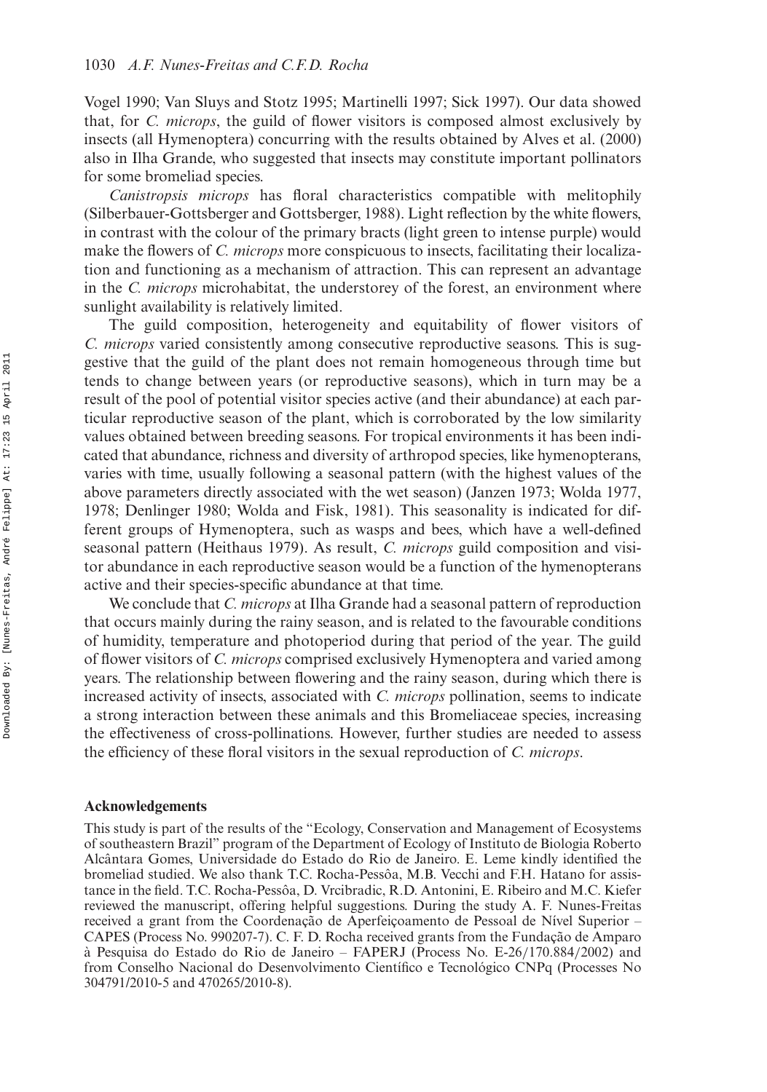Vogel 1990; Van Sluys and Stotz 1995; Martinelli 1997; Sick 1997). Our data showed that, for *C. microps*, the guild of flower visitors is composed almost exclusively by insects (all Hymenoptera) concurring with the results obtained by Alves et al. (2000) also in Ilha Grande, who suggested that insects may constitute important pollinators for some bromeliad species.

*Canistropsis microps* has floral characteristics compatible with melitophily (Silberbauer-Gottsberger and Gottsberger, 1988). Light reflection by the white flowers, in contrast with the colour of the primary bracts (light green to intense purple) would make the flowers of *C. microps* more conspicuous to insects, facilitating their localization and functioning as a mechanism of attraction. This can represent an advantage in the *C. microps* microhabitat, the understorey of the forest, an environment where sunlight availability is relatively limited.

The guild composition, heterogeneity and equitability of flower visitors of *C. microps* varied consistently among consecutive reproductive seasons. This is suggestive that the guild of the plant does not remain homogeneous through time but tends to change between years (or reproductive seasons), which in turn may be a result of the pool of potential visitor species active (and their abundance) at each particular reproductive season of the plant, which is corroborated by the low similarity values obtained between breeding seasons. For tropical environments it has been indicated that abundance, richness and diversity of arthropod species, like hymenopterans, varies with time, usually following a seasonal pattern (with the highest values of the above parameters directly associated with the wet season) (Janzen 1973; Wolda 1977, 1978; Denlinger 1980; Wolda and Fisk, 1981). This seasonality is indicated for different groups of Hymenoptera, such as wasps and bees, which have a well-defined seasonal pattern (Heithaus 1979). As result, *C. microps* guild composition and visitor abundance in each reproductive season would be a function of the hymenopterans active and their species-specific abundance at that time.

We conclude that *C. microps* at Ilha Grande had a seasonal pattern of reproduction that occurs mainly during the rainy season, and is related to the favourable conditions of humidity, temperature and photoperiod during that period of the year. The guild of flower visitors of *C. microps* comprised exclusively Hymenoptera and varied among years. The relationship between flowering and the rainy season, during which there is increased activity of insects, associated with *C. microps* pollination, seems to indicate a strong interaction between these animals and this Bromeliaceae species, increasing the effectiveness of cross-pollinations. However, further studies are needed to assess the efficiency of these floral visitors in the sexual reproduction of *C. microps*.

#### **Acknowledgements**

This study is part of the results of the "Ecology, Conservation and Management of Ecosystems of southeastern Brazil" program of the Department of Ecology of Instituto de Biologia Roberto Alcântara Gomes, Universidade do Estado do Rio de Janeiro. E. Leme kindly identified the bromeliad studied. We also thank T.C. Rocha-Pessôa, M.B. Vecchi and F.H. Hatano for assistance in the field. T.C. Rocha-Pessôa, D. Vrcibradic, R.D. Antonini, E. Ribeiro and M.C. Kiefer reviewed the manuscript, offering helpful suggestions. During the study A. F. Nunes-Freitas received a grant from the Coordenação de Aperfeiçoamento de Pessoal de Nível Superior – CAPES (Process No. 990207-7). C. F. D. Rocha received grants from the Fundação de Amparo à Pesquisa do Estado do Rio de Janeiro – FAPERJ (Process No. E-26*/*170.884*/*2002) and from Conselho Nacional do Desenvolvimento Científico e Tecnológico CNPq (Processes No 304791/2010-5 and 470265/2010-8).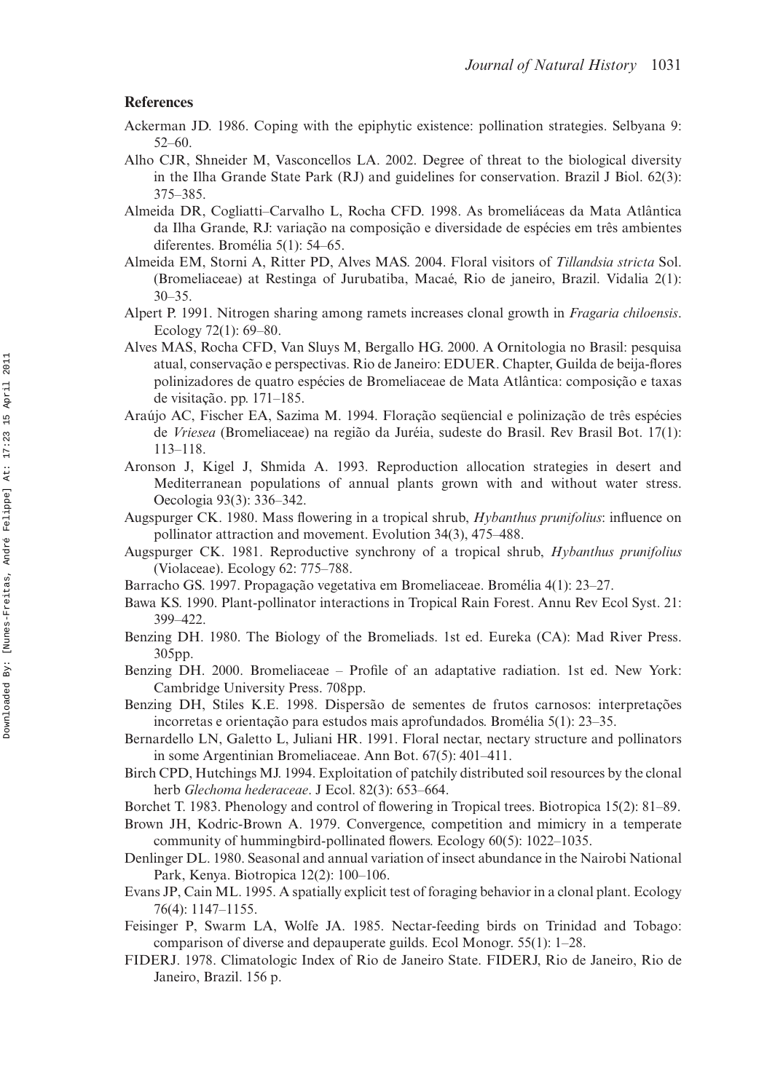#### **References**

- Ackerman JD. 1986. Coping with the epiphytic existence: pollination strategies. Selbyana 9: 52–60.
- Alho CJR, Shneider M, Vasconcellos LA. 2002. Degree of threat to the biological diversity in the Ilha Grande State Park (RJ) and guidelines for conservation. Brazil J Biol. 62(3): 375–385.
- Almeida DR, Cogliatti–Carvalho L, Rocha CFD. 1998. As bromeliáceas da Mata Atlântica da Ilha Grande, RJ: variação na composição e diversidade de espécies em três ambientes diferentes. Bromélia 5(1): 54–65.
- Almeida EM, Storni A, Ritter PD, Alves MAS. 2004. Floral visitors of *Tillandsia stricta* Sol. (Bromeliaceae) at Restinga of Jurubatiba, Macaé, Rio de janeiro, Brazil. Vidalia 2(1): 30–35.
- Alpert P. 1991. Nitrogen sharing among ramets increases clonal growth in *Fragaria chiloensis*. Ecology 72(1): 69–80.
- Alves MAS, Rocha CFD, Van Sluys M, Bergallo HG. 2000. A Ornitologia no Brasil: pesquisa atual, conservação e perspectivas. Rio de Janeiro: EDUER. Chapter, Guilda de beija-flores polinizadores de quatro espécies de Bromeliaceae de Mata Atlântica: composição e taxas de visitação. pp. 171–185.
- Araújo AC, Fischer EA, Sazima M. 1994. Floração seqüencial e polinização de três espécies de *Vriesea* (Bromeliaceae) na região da Juréia, sudeste do Brasil. Rev Brasil Bot. 17(1): 113–118.
- Aronson J, Kigel J, Shmida A. 1993. Reproduction allocation strategies in desert and Mediterranean populations of annual plants grown with and without water stress. Oecologia 93(3): 336–342.
- Augspurger CK. 1980. Mass flowering in a tropical shrub, *Hybanthus prunifolius*: influence on pollinator attraction and movement. Evolution 34(3), 475–488.
- Augspurger CK. 1981. Reproductive synchrony of a tropical shrub, *Hybanthus prunifolius* (Violaceae). Ecology 62: 775–788.
- Barracho GS. 1997. Propagação vegetativa em Bromeliaceae. Bromélia 4(1): 23–27.
- Bawa KS. 1990. Plant-pollinator interactions in Tropical Rain Forest. Annu Rev Ecol Syst. 21: 399–422.
- Benzing DH. 1980. The Biology of the Bromeliads. 1st ed. Eureka (CA): Mad River Press. 305pp.
- Benzing DH. 2000. Bromeliaceae Profile of an adaptative radiation. 1st ed. New York: Cambridge University Press. 708pp.
- Benzing DH, Stiles K.E. 1998. Dispersão de sementes de frutos carnosos: interpretações incorretas e orientação para estudos mais aprofundados. Bromélia 5(1): 23–35.
- Bernardello LN, Galetto L, Juliani HR. 1991. Floral nectar, nectary structure and pollinators in some Argentinian Bromeliaceae. Ann Bot. 67(5): 401–411.
- Birch CPD, Hutchings MJ. 1994. Exploitation of patchily distributed soil resources by the clonal herb *Glechoma hederaceae*. J Ecol. 82(3): 653–664.
- Borchet T. 1983. Phenology and control of flowering in Tropical trees. Biotropica 15(2): 81–89.
- Brown JH, Kodric-Brown A. 1979. Convergence, competition and mimicry in a temperate community of hummingbird-pollinated flowers. Ecology 60(5): 1022–1035.
- Denlinger DL. 1980. Seasonal and annual variation of insect abundance in the Nairobi National Park, Kenya. Biotropica 12(2): 100–106.
- Evans JP, Cain ML. 1995. A spatially explicit test of foraging behavior in a clonal plant. Ecology 76(4): 1147–1155.
- Feisinger P, Swarm LA, Wolfe JA. 1985. Nectar-feeding birds on Trinidad and Tobago: comparison of diverse and depauperate guilds. Ecol Monogr. 55(1): 1–28.
- FIDERJ. 1978. Climatologic Index of Rio de Janeiro State. FIDERJ, Rio de Janeiro, Rio de Janeiro, Brazil. 156 p.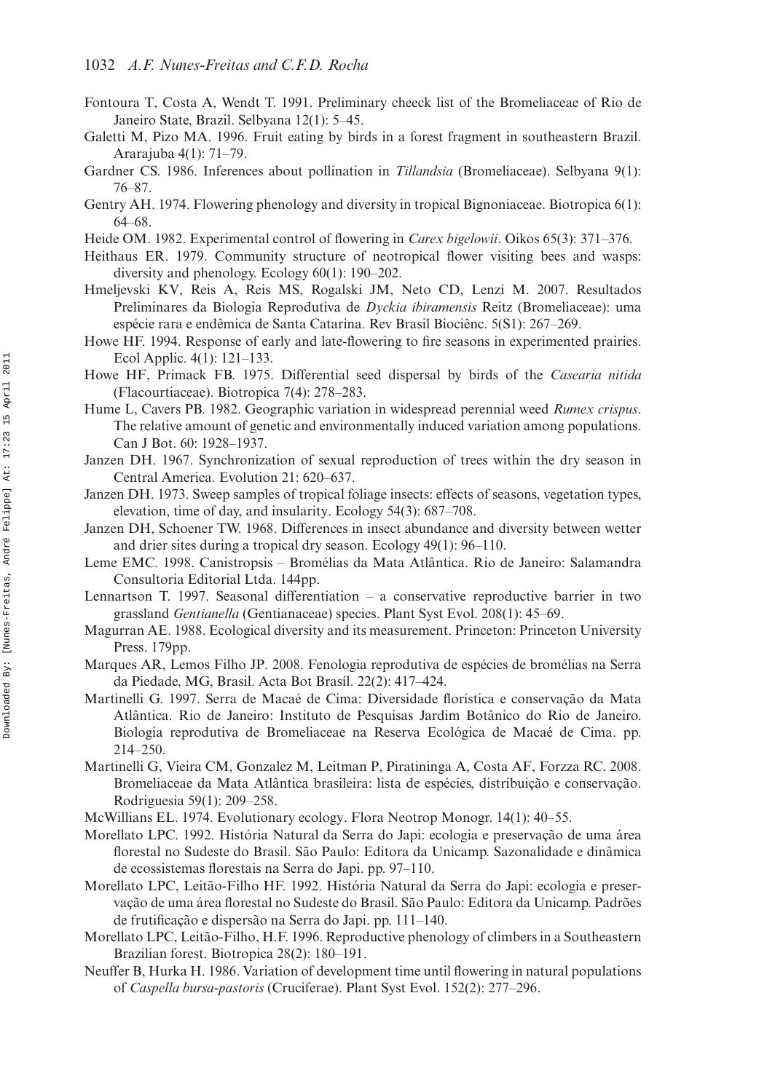- Fontoura T, Costa A, Wendt T. 1991. Preliminary cheeck list of the Bromeliaceae of Rio de Janeiro State, Brazil. Selbyana 12(1): 5–45.
- Galetti M, Pizo MA. 1996. Fruit eating by birds in a forest fragment in southeastern Brazil. Ararajuba 4(1): 71–79.
- Gardner CS. 1986. Inferences about pollination in *Tillandsia* (Bromeliaceae). Selbyana 9(1): 76–87.
- Gentry AH. 1974. Flowering phenology and diversity in tropical Bignoniaceae. Biotropica 6(1): 64–68.
- Heide OM. 1982. Experimental control of flowering in *Carex bigelowii*. Oikos 65(3): 371–376.
- Heithaus ER. 1979. Community structure of neotropical flower visiting bees and wasps: diversity and phenology. Ecology 60(1): 190–202.
- Hmeljevski KV, Reis A, Reis MS, Rogalski JM, Neto CD, Lenzi M. 2007. Resultados Preliminares da Biologia Reprodutiva de *Dyckia ibiramensis* Reitz (Bromeliaceae): uma espécie rara e endêmica de Santa Catarina. Rev Brasil Biociênc. 5(S1): 267–269.
- Howe HF. 1994. Response of early and late-flowering to fire seasons in experimented prairies. Ecol Applic. 4(1): 121–133.
- Howe HF, Primack FB. 1975. Differential seed dispersal by birds of the *Casearia nitida* (Flacourtiaceae). Biotropica 7(4): 278–283.
- Hume L, Cavers PB. 1982. Geographic variation in widespread perennial weed *Rumex crispus*. The relative amount of genetic and environmentally induced variation among populations. Can J Bot. 60: 1928–1937.
- Janzen DH. 1967. Synchronization of sexual reproduction of trees within the dry season in Central America. Evolution 21: 620–637.
- Janzen DH. 1973. Sweep samples of tropical foliage insects: effects of seasons, vegetation types, elevation, time of day, and insularity. Ecology 54(3): 687–708.
- Janzen DH, Schoener TW. 1968. Differences in insect abundance and diversity between wetter and drier sites during a tropical dry season. Ecology 49(1): 96–110.
- Leme EMC. 1998. Canistropsis Bromélias da Mata Atlântica. Rio de Janeiro: Salamandra Consultoria Editorial Ltda. 144pp.
- Lennartson T. 1997. Seasonal differentiation a conservative reproductive barrier in two grassland *Gentianella* (Gentianaceae) species. Plant Syst Evol. 208(1): 45–69.
- Magurran AE. 1988. Ecological diversity and its measurement. Princeton: Princeton University Press. 179pp.
- Marques AR, Lemos Filho JP. 2008. Fenologia reprodutiva de espécies de bromélias na Serra da Piedade, MG, Brasil. Acta Bot Brasíl. 22(2): 417–424.
- Martinelli G. 1997. Serra de Macaé de Cima: Diversidade florística e conservação da Mata Atlântica. Rio de Janeiro: Instituto de Pesquisas Jardim Botânico do Rio de Janeiro. Biologia reprodutiva de Bromeliaceae na Reserva Ecológica de Macaé de Cima. pp. 214–250.
- Martinelli G, Vieira CM, Gonzalez M, Leitman P, Piratininga A, Costa AF, Forzza RC. 2008. Bromeliaceae da Mata Atlântica brasileira: lista de espécies, distribuição e conservação. Rodriguesia 59(1): 209–258.
- McWillians EL. 1974. Evolutionary ecology. Flora Neotrop Monogr. 14(1): 40–55.
- Morellato LPC. 1992. História Natural da Serra do Japi: ecologia e preservação de uma área florestal no Sudeste do Brasil. São Paulo: Editora da Unicamp. Sazonalidade e dinâmica de ecossistemas florestais na Serra do Japi. pp. 97–110.
- Morellato LPC, Leitão-Filho HF. 1992. História Natural da Serra do Japi: ecologia e preservação de uma área florestal no Sudeste do Brasil. São Paulo: Editora da Unicamp. Padrões de frutificação e dispersão na Serra do Japi. pp. 111–140.
- Morellato LPC, Leitão-Filho, H.F. 1996. Reproductive phenology of climbers in a Southeastern Brazilian forest. Biotropica 28(2): 180–191.
- Neuffer B, Hurka H. 1986. Variation of development time until flowering in natural populations of *Caspella bursa-pastoris* (Cruciferae). Plant Syst Evol. 152(2): 277–296.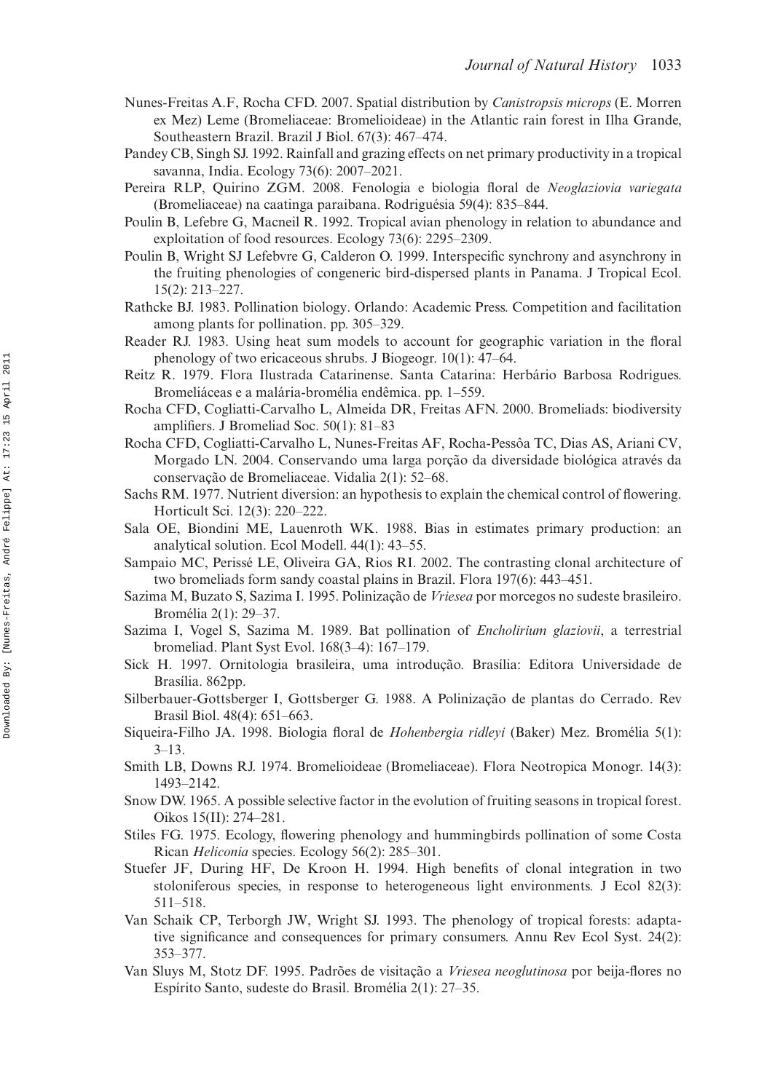- Nunes-Freitas A.F, Rocha CFD. 2007. Spatial distribution by *Canistropsis microps* (E. Morren ex Mez) Leme (Bromeliaceae: Bromelioideae) in the Atlantic rain forest in Ilha Grande, Southeastern Brazil. Brazil J Biol. 67(3): 467–474.
- Pandey CB, Singh SJ. 1992. Rainfall and grazing effects on net primary productivity in a tropical savanna, India. Ecology 73(6): 2007–2021.
- Pereira RLP, Quirino ZGM. 2008. Fenologia e biologia floral de *Neoglaziovia variegata* (Bromeliaceae) na caatinga paraibana. Rodriguésia 59(4): 835–844.
- Poulin B, Lefebre G, Macneil R. 1992. Tropical avian phenology in relation to abundance and exploitation of food resources. Ecology 73(6): 2295–2309.
- Poulin B, Wright SJ Lefebvre G, Calderon O. 1999. Interspecific synchrony and asynchrony in the fruiting phenologies of congeneric bird-dispersed plants in Panama. J Tropical Ecol. 15(2): 213–227.
- Rathcke BJ. 1983. Pollination biology. Orlando: Academic Press. Competition and facilitation among plants for pollination. pp. 305–329.
- Reader RJ. 1983. Using heat sum models to account for geographic variation in the floral phenology of two ericaceous shrubs. J Biogeogr. 10(1): 47–64.
- Reitz R. 1979. Flora Ilustrada Catarinense. Santa Catarina: Herbário Barbosa Rodrigues. Bromeliáceas e a malária-bromélia endêmica. pp. 1–559.
- Rocha CFD, Cogliatti-Carvalho L, Almeida DR, Freitas AFN. 2000. Bromeliads: biodiversity amplifiers. J Bromeliad Soc. 50(1): 81–83
- Rocha CFD, Cogliatti-Carvalho L, Nunes-Freitas AF, Rocha-Pessôa TC, Dias AS, Ariani CV, Morgado LN. 2004. Conservando uma larga porção da diversidade biológica através da conservação de Bromeliaceae. Vidalia 2(1): 52–68.
- Sachs RM. 1977. Nutrient diversion: an hypothesis to explain the chemical control of flowering. Horticult Sci. 12(3): 220–222.
- Sala OE, Biondini ME, Lauenroth WK. 1988. Bias in estimates primary production: an analytical solution. Ecol Modell. 44(1): 43–55.
- Sampaio MC, Perissé LE, Oliveira GA, Rios RI. 2002. The contrasting clonal architecture of two bromeliads form sandy coastal plains in Brazil. Flora 197(6): 443–451.
- Sazima M, Buzato S, Sazima I. 1995. Polinização de *Vriesea* por morcegos no sudeste brasileiro. Bromélia 2(1): 29–37.
- Sazima I, Vogel S, Sazima M. 1989. Bat pollination of *Encholirium glaziovii*, a terrestrial bromeliad. Plant Syst Evol. 168(3–4): 167–179.
- Sick H. 1997. Ornitologia brasileira, uma introdução. Brasília: Editora Universidade de Brasília. 862pp.
- Silberbauer-Gottsberger I, Gottsberger G. 1988. A Polinização de plantas do Cerrado. Rev Brasil Biol. 48(4): 651–663.
- Siqueira-Filho JA. 1998. Biologia floral de *Hohenbergia ridleyi* (Baker) Mez. Bromélia 5(1):  $3 - 13$ .
- Smith LB, Downs RJ. 1974. Bromelioideae (Bromeliaceae). Flora Neotropica Monogr. 14(3): 1493–2142.
- Snow DW. 1965. A possible selective factor in the evolution of fruiting seasons in tropical forest. Oikos 15(II): 274–281.
- Stiles FG. 1975. Ecology, flowering phenology and hummingbirds pollination of some Costa Rican *Heliconia* species. Ecology 56(2): 285–301.
- Stuefer JF, During HF, De Kroon H. 1994. High benefits of clonal integration in two stoloniferous species, in response to heterogeneous light environments. J Ecol 82(3): 511–518.
- Van Schaik CP, Terborgh JW, Wright SJ. 1993. The phenology of tropical forests: adaptative significance and consequences for primary consumers. Annu Rev Ecol Syst. 24(2): 353–377.
- Van Sluys M, Stotz DF. 1995. Padrões de visitação a *Vriesea neoglutinosa* por beija-flores no Espírito Santo, sudeste do Brasil. Bromélia 2(1): 27–35.